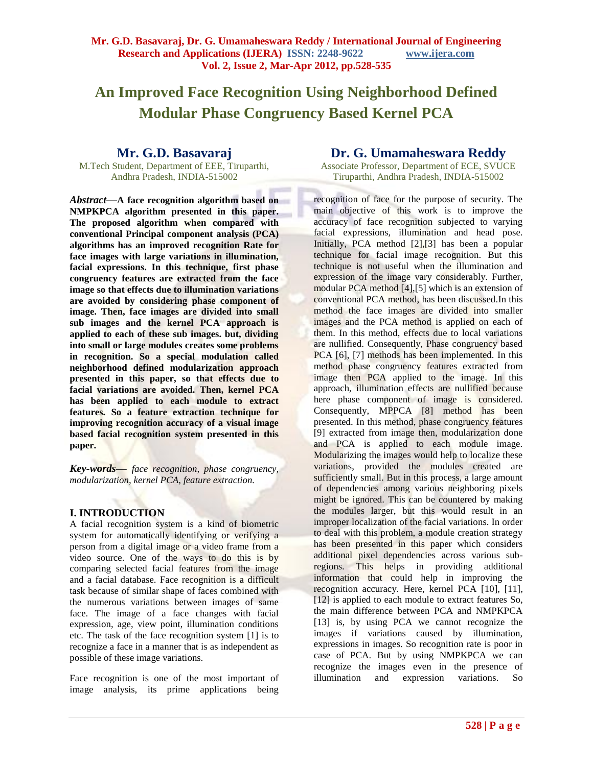# **An Improved Face Recognition Using Neighborhood Defined Modular Phase Congruency Based Kernel PCA**

# **Mr. G.D. Basavaraj**

M.Tech Student, Department of EEE, Tiruparthi, Andhra Pradesh, INDIA-515002

*Abstract***—A face recognition algorithm based on NMPKPCA algorithm presented in this paper. The proposed algorithm when compared with conventional Principal component analysis (PCA) algorithms has an improved recognition Rate for face images with large variations in illumination, facial expressions. In this technique, first phase congruency features are extracted from the face image so that effects due to illumination variations are avoided by considering phase component of image. Then, face images are divided into small sub images and the kernel PCA approach is applied to each of these sub images. but, dividing into small or large modules creates some problems in recognition. So a special modulation called neighborhood defined modularization approach presented in this paper, so that effects due to facial variations are avoided. Then, kernel PCA has been applied to each module to extract features. So a feature extraction technique for improving recognition accuracy of a visual image based facial recognition system presented in this paper.** 

*Key-words***—** *face recognition, phase congruency, modularization, kernel PCA, feature extraction.* 

# **I. INTRODUCTION**

A facial recognition system is a kind of biometric system for automatically identifying or verifying a person from a digital image or a video frame from a video source. One of the ways to do this is by comparing selected facial features from the image and a facial database. Face recognition is a difficult task because of similar shape of faces combined with the numerous variations between images of same face. The image of a face changes with facial expression, age, view point, illumination conditions etc. The task of the face recognition system [1] is to recognize a face in a manner that is as independent as possible of these image variations.

Face recognition is one of the most important of image analysis, its prime applications being

# **Dr. G. Umamaheswara Reddy**

Associate Professor, Department of ECE, SVUCE Tiruparthi, Andhra Pradesh, INDIA-515002

recognition of face for the purpose of security. The main objective of this work is to improve the accuracy of face recognition subjected to varying facial expressions, illumination and head pose. Initially, PCA method [2],[3] has been a popular technique for facial image recognition. But this technique is not useful when the illumination and expression of the image vary considerably. Further, modular PCA method [4],[5] which is an extension of conventional PCA method, has been discussed.In this method the face images are divided into smaller images and the PCA method is applied on each of them. In this method, effects due to local variations are nullified. Consequently, Phase congruency based PCA [6], [7] methods has been implemented. In this method phase congruency features extracted from image then PCA applied to the image. In this approach, illumination effects are nullified because here phase component of image is considered. Consequently, MPPCA [8] method has been presented. In this method, phase congruency features [9] extracted from image then, modularization done and PCA is applied to each module image. Modularizing the images would help to localize these variations, provided the modules created are sufficiently small. But in this process, a large amount of dependencies among various neighboring pixels might be ignored. This can be countered by making the modules larger, but this would result in an improper localization of the facial variations. In order to deal with this problem, a module creation strategy has been presented in this paper which considers additional pixel dependencies across various subregions. This helps in providing additional information that could help in improving the recognition accuracy. Here, kernel PCA [10], [11], [12] is applied to each module to extract features So, the main difference between PCA and NMPKPCA [13] is, by using PCA we cannot recognize the images if variations caused by illumination, expressions in images. So recognition rate is poor in case of PCA. But by using NMPKPCA we can recognize the images even in the presence of illumination and expression variations. So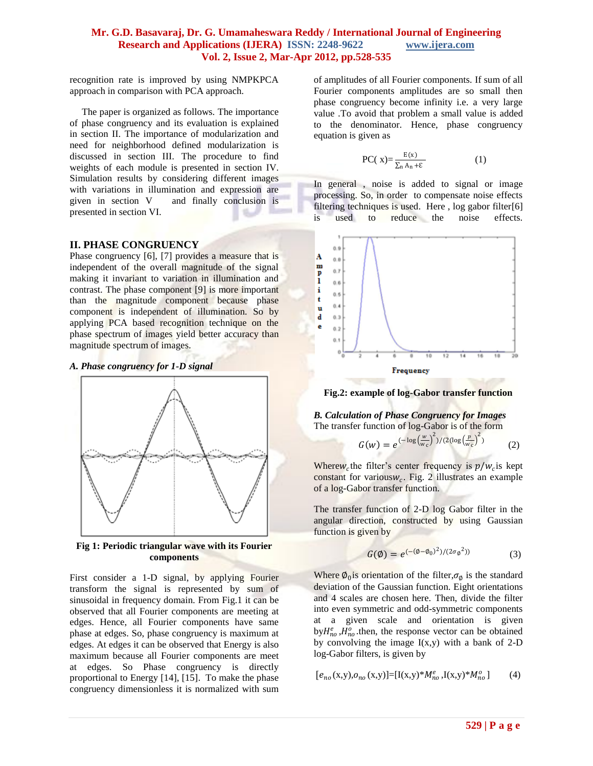recognition rate is improved by using NMPKPCA approach in comparison with PCA approach.

 The paper is organized as follows. The importance of phase congruency and its evaluation is explained in section II. The importance of modularization and need for neighborhood defined modularization is discussed in section III. The procedure to find weights of each module is presented in section IV. Simulation results by considering different images with variations in illumination and expression are given in section V and finally conclusion is presented in section VI.

#### **II. PHASE CONGRUENCY**

Phase congruency [6], [7] provides a measure that is independent of the overall magnitude of the signal making it invariant to variation in illumination and contrast. The phase component [9] is more important than the magnitude component because phase component is independent of illumination. So by applying PCA based recognition technique on the phase spectrum of images yield better accuracy than magnitude spectrum of images.

#### *A. Phase congruency for 1-D signal*



**Fig 1: Periodic triangular wave with its Fourier components**

First consider a 1-D signal, by applying Fourier transform the signal is represented by sum of sinusoidal in frequency domain. From Fig.1 it can be observed that all Fourier components are meeting at edges. Hence, all Fourier components have same phase at edges. So, phase congruency is maximum at edges. At edges it can be observed that Energy is also maximum because all Fourier components are meet at edges. So Phase congruency is directly proportional to Energy [14], [15]. To make the phase congruency dimensionless it is normalized with sum

of amplitudes of all Fourier components. If sum of all Fourier components amplitudes are so small then phase congruency become infinity i.e. a very large value .To avoid that problem a small value is added to the denominator. Hence, phase congruency equation is given as

$$
PC(x) = \frac{E(x)}{\sum_{n} A_n + \varepsilon}
$$
 (1)

In general , noise is added to signal or image processing. So, in order to compensate noise effects filtering techniques is used. Here, log gabor filter[6] is used to reduce the noise effects.



**Fig.2: example of log-Gabor transfer function**

*B. Calculation of Phase Congruency for Images* The transfer function of log-Gabor is of the form w 2 p 2

$$
G(w) = e^{(-\log\left(\frac{w}{w_c}\right)^2)/(2(\log\left(\frac{p}{w_c}\right)^2))}
$$
 (2)

Where  $w_c$  the filter's center frequency is  $p/w_c$  is kept constant for various $w_c$ . Fig. 2 illustrates an example of a log-Gabor transfer function.

The transfer function of 2-D log Gabor filter in the angular direction, constructed by using Gaussian function is given by

$$
G(\emptyset) = e^{(-(\emptyset - \emptyset_0)^2)/(2\sigma_{\emptyset}^2)}
$$
 (3)

Where  $\phi_0$  is orientation of the filter,  $\sigma_\phi$  is the standard deviation of the Gaussian function. Eight orientations and 4 scales are chosen here. Then, divide the filter into even symmetric and odd-symmetric components at a given scale and orientation is given by  $H_{no}^e$ ,  $H_{no}^o$ , then, the response vector can be obtained by convolving the image  $I(x,y)$  with a bank of 2-D log-Gabor filters, is given by

$$
[e_{no}(x,y), o_{no}(x,y)] = [I(x,y)*M_{no}^e, I(x,y)*M_{no}^o]
$$
 (4)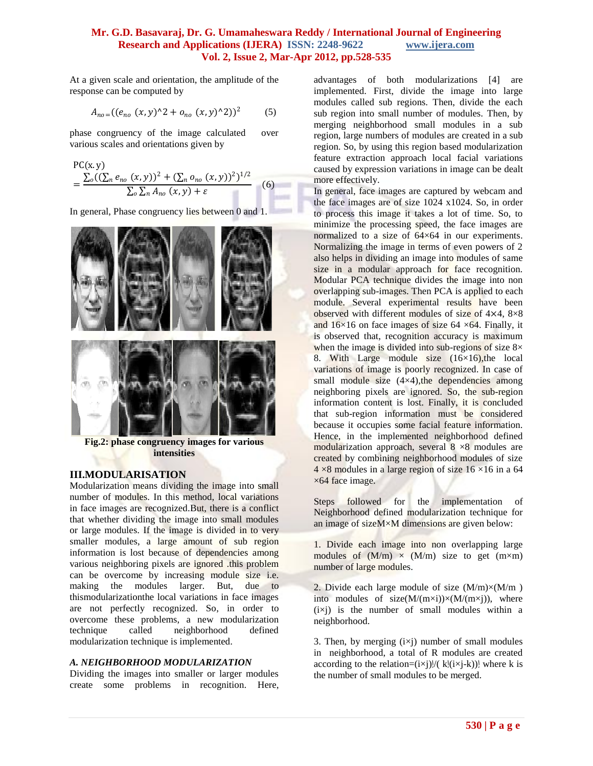At a given scale and orientation, the amplitude of the response can be computed by

$$
A_{no} = ((e_{no} (x, y)^{2} + o_{no} (x, y)^{2}))^{2}
$$
 (5)

phase congruency of the image calculated over various scales and orientations given by

$$
PC(x, y)
$$
  
= 
$$
\frac{\sum_{o} ((\sum_{n} e_{no} (x, y))^{2} + (\sum_{n} o_{no} (x, y))^{2})^{1/2}}{\sum_{o} \sum_{n} A_{no} (x, y) + \varepsilon}
$$
 (6)

In general, Phase congruency lies between 0 and 1.



**Fig.2: phase congruency images for various intensities**

#### **III.MODULARISATION**

Modularization means dividing the image into small number of modules. In this method, local variations in face images are recognized.But, there is a conflict that whether dividing the image into small modules or large modules. If the image is divided in to very smaller modules, a large amount of sub region information is lost because of dependencies among various neighboring pixels are ignored .this problem can be overcome by increasing module size i.e. making the modules larger. But, due to thismodularizationthe local variations in face images are not perfectly recognized. So, in order to overcome these problems, a new modularization technique called neighborhood defined modularization technique is implemented.

#### *A. NEIGHBORHOOD MODULARIZATION*

Dividing the images into smaller or larger modules create some problems in recognition. Here, advantages of both modularizations [4] are implemented. First, divide the image into large modules called sub regions. Then, divide the each sub region into small number of modules. Then, by merging neighborhood small modules in a sub region, large numbers of modules are created in a sub region. So, by using this region based modularization feature extraction approach local facial variations caused by expression variations in image can be dealt more effectively.

In general, face images are captured by webcam and the face images are of size 1024 x1024. So, in order to process this image it takes a lot of time. So, to minimize the processing speed, the face images are normalized to a size of  $64\times64$  in our experiments. Normalizing the image in terms of even powers of 2 also helps in dividing an image into modules of same size in a modular approach for face recognition. Modular PCA technique divides the image into non overlapping sub-images. Then PCA is applied to each module. Several experimental results have been observed with different modules of size of 4×4, 8×8 and  $16\times16$  on face images of size 64  $\times$  64. Finally, it is observed that, recognition accuracy is maximum when the image is divided into sub-regions of size  $8\times$ 8. With Large module size  $(16\times16)$ , the local variations of image is poorly recognized. In case of small module size  $(4\times4)$ , the dependencies among neighboring pixels are ignored. So, the sub-region information content is lost. Finally, it is concluded that sub-region information must be considered because it occupies some facial feature information. Hence, in the implemented neighborhood defined modularization approach, several  $8 \times 8$  modules are created by combining neighborhood modules of size  $4 \times 8$  modules in a large region of size 16  $\times$ 16 in a 64 ×64 face image.

Steps followed for the implementation of Neighborhood defined modularization technique for an image of sizeM×M dimensions are given below:

1. Divide each image into non overlapping large modules of  $(M/m) \times (M/m)$  size to get  $(m \times m)$ number of large modules.

2. Divide each large module of size  $(M/m) \times (M/m)$ into modules of size $(M/(m\times i))\times (M/(m\times i))$ , where  $(ix)$  is the number of small modules within a neighborhood.

3. Then, by merging  $(ixj)$  number of small modules in neighborhood, a total of R modules are created according to the relation= $(i \times j)$ ]/(  $k$ ] $(i \times j-k)$ ] where k is the number of small modules to be merged.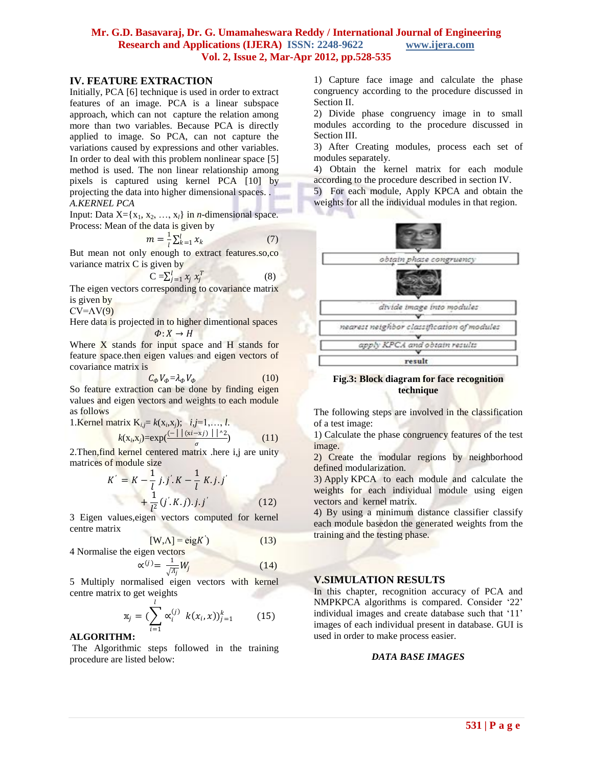# **IV. FEATURE EXTRACTION**

Initially, PCA [6] technique is used in order to extract features of an image. PCA is a linear subspace approach, which can not capture the relation among more than two variables. Because PCA is directly applied to image. So PCA, can not capture the variations caused by expressions and other variables. In order to deal with this problem nonlinear space [5] method is used. The non linear relationship among pixels is captured using kernel PCA [10] by projecting the data into higher dimensional spaces. . *A.KERNEL PCA* 

Input: Data  $X = \{x_1, x_2, ..., x_l\}$  in *n*-dimensional space. Process: Mean of the data is given by

$$
m = \frac{1}{l} \sum_{k=1}^{l} x_k \tag{7}
$$

But mean not only enough to extract features.so,co variance matrix C is given by

$$
C = \sum_{j=1}^{l} x_j x_j^T \tag{8}
$$

The eigen vectors corresponding to covariance matrix is given by

 $CV = \Lambda V(9)$ 

Here data is projected in to higher dimentional spaces  $\Phi: X \to H$ 

Where X stands for input space and H stands for feature space.then eigen values and eigen vectors of covariance matrix is

$$
C_{\phi}V_{\phi} = \lambda_{\phi}V_{\phi} \tag{10}
$$

So feature extraction can be done by finding eigen values and eigen vectors and weights to each module as follows

1.Kernel matrix 
$$
K_{i,j} = k(x_i, x_j)
$$
;  $i, j = 1, ..., l$ .  
 $k(x_i, x_j) = exp(\frac{(-\mid |(x_i - x_j)| \mid^2)}{z})$  (11)

2. Then,find kernel centered matrix .here i,j are unity matrices of module size

$$
K' = K - \frac{1}{l} j.j.K - \frac{1}{l} K.j.j'
$$
  
+ 
$$
\frac{1}{l^{2}} (j'.K.j).j.j'
$$
 (12)

3 Eigen values,eigen vectors computed for kernel centre matrix

$$
[W,A] = eigK'
$$
 (13)

4 Normalise the eigen vectors

$$
\alpha^{(j)} = \frac{1}{\sqrt{A_j}} W_j \tag{14}
$$

5 Multiply normalised eigen vectors with kernel centre matrix to get weights

$$
\mathbf{x}_{j} = (\sum_{i=1}^{l} \alpha_{i}^{(j)} \ k(x_{i}, x))_{j=1}^{k} \qquad (15)
$$

# **ALGORITHM:**

The Algorithmic steps followed in the training procedure are listed below:

1) Capture face image and calculate the phase congruency according to the procedure discussed in Section II.

2) Divide phase congruency image in to small modules according to the procedure discussed in Section III.

3) After Creating modules, process each set of modules separately.

4) Obtain the kernel matrix for each module according to the procedure described in section IV.

5) For each module, Apply KPCA and obtain the weights for all the individual modules in that region.



#### **Fig.3: Block diagram for face recognition technique**

The following steps are involved in the classification of a test image:

1) Calculate the phase congruency features of the test image.

2) Create the modular regions by neighborhood defined modularization.

3) Apply KPCA to each module and calculate the weights for each individual module using eigen vectors and kernel matrix.

4) By using a minimum distance classifier classify each module basedon the generated weights from the training and the testing phase.

# **V.SIMULATION RESULTS**

In this chapter, recognition accuracy of PCA and NMPKPCA algorithms is compared. Consider "22" individual images and create database such that "11" images of each individual present in database. GUI is used in order to make process easier.

#### *DATA BASE IMAGES*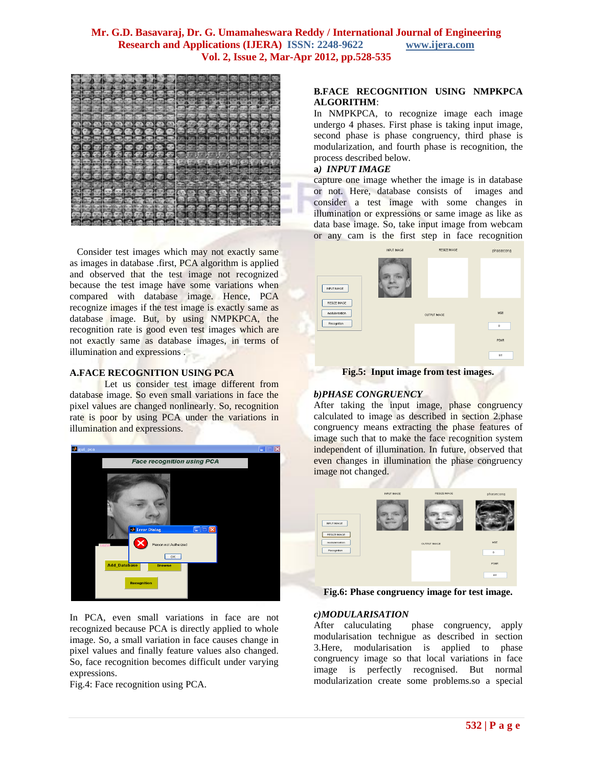

 Consider test images which may not exactly same as images in database .first, PCA algorithm is applied and observed that the test image not recognized because the test image have some variations when compared with database image. Hence, PCA recognize images if the test image is exactly same as database image. But, by using NMPKPCA, the recognition rate is good even test images which are not exactly same as database images, in terms of illumination and expressions .

#### **A.FACE RECOGNITION USING PCA**

Let us consider test image different from database image. So even small variations in face the pixel values are changed nonlinearly. So, recognition rate is poor by using PCA under the variations in illumination and expressions.



In PCA, even small variations in face are not recognized because PCA is directly applied to whole image. So, a small variation in face causes change in pixel values and finally feature values also changed. So, face recognition becomes difficult under varying expressions.

Fig.4: Face recognition using PCA.

#### **B.FACE RECOGNITION USING NMPKPCA ALGORITHM**:

In NMPKPCA, to recognize image each image undergo 4 phases. First phase is taking input image, second phase is phase congruency, third phase is modularization, and fourth phase is recognition, the process described below.

#### **a***) INPUT IMAGE*

capture one image whether the image is in database or not. Here, database consists of images and consider a test image with some changes in illumination or expressions or same image as like as data base image. So, take input image from webcam or any cam is the first step in face recognition



**Fig.5: Input image from test images.**

# *b)PHASE CONGRUENCY*

After taking the input image, phase congruency calculated to image as described in section 2.phase congruency means extracting the phase features of image such that to make the face recognition system independent of illumination. In future, observed that even changes in illumination the phase congruency image not changed.



**Fig.6: Phase congruency image for test image.**

#### *c)MODULARISATION*

After caluculating phase congruency, apply modularisation technigue as described in section 3.Here, modularisation is applied to phase congruency image so that local variations in face image is perfectly recognised. But normal modularization create some problems.so a special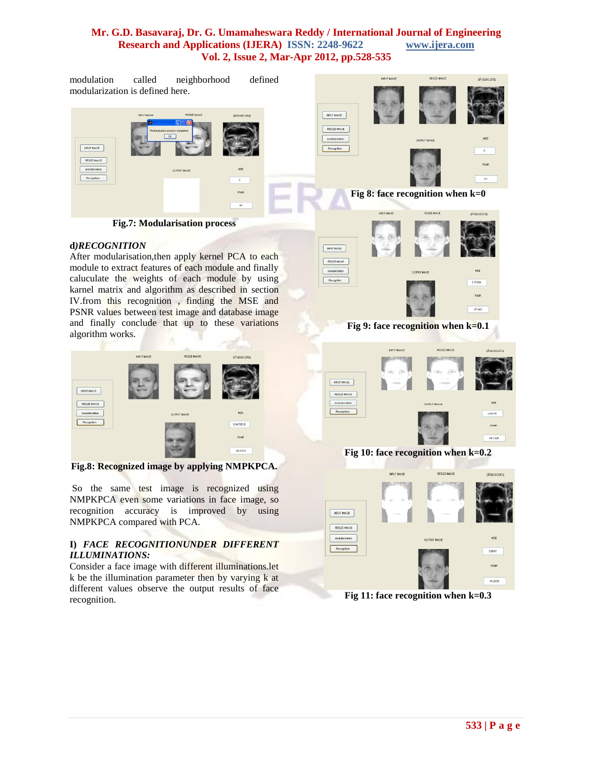**DPUT MAGE** RESIZE MAGE  $modization$ 

Recognition

modulation called neighborhood defined modularization is defined here.



**Fig.7: Modularisation process**

#### **d***)RECOGNITION*

After modularisation,then apply kernel PCA to each module to extract features of each module and finally caluculate the weights of each module by using karnel matrix and algorithm as described in section IV.from this recognition , finding the MSE and PSNR values between test image and database image and finally conclude that up to these variations algorithm works.



**Fig.8: Recognized image by applying NMPKPCA.**

So the same test image is recognized using NMPKPCA even some variations in face image, so recognition accuracy is improved by using NMPKPCA compared with PCA.

#### **I)** *FACE RECOGNITIONUNDER DIFFERENT ILLUMINATIONS:*

Consider a face image with different illuminations.let k be the illumination parameter then by varying k at different values observe the output results of face recognition.



INPUT IMAGE

RESIZE MAGE

**Fig 9: face recognition when k=0.1**



**Fig 10: face recognition when k=0.2**



**Fig 11: face recognition when k=0.3**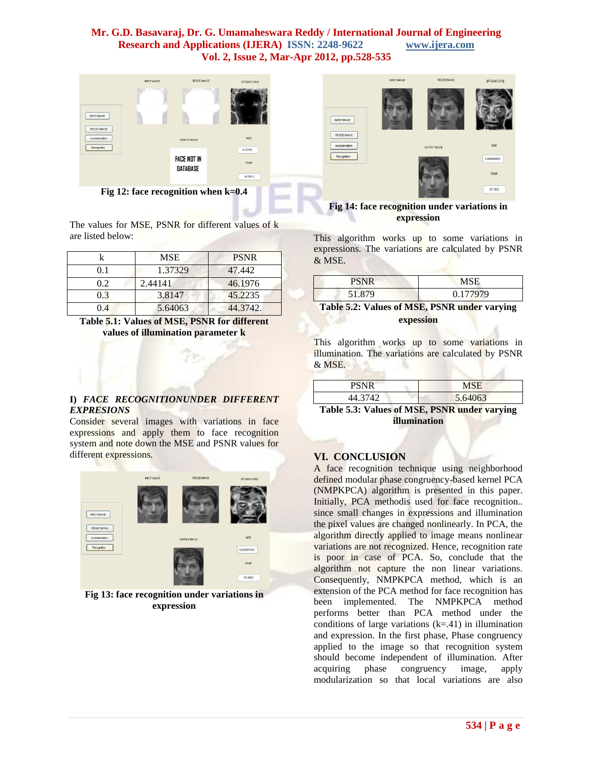

**Fig 12: face recognition when k=0.4**

The values for MSE, PSNR for different values of k are listed below:

|     | <b>MSE</b> | <b>PSNR</b> |  |  |  |
|-----|------------|-------------|--|--|--|
| 01  | 1.37329    | 47.442      |  |  |  |
| 02  | 2.44141    | 46.1976     |  |  |  |
| 03  | 3.8147     | 45.2235     |  |  |  |
| 0.4 | 5.64063    | 44.3742.    |  |  |  |

**Table 5.1: Values of MSE, PSNR for different values of illumination parameter k**

#### **I)** *FACE RECOGNITIONUNDER DIFFERENT EXPRESIONS*

Consider several images with variations in face expressions and apply them to face recognition system and note down the MSE and PSNR values for different expressions.



**Fig 13: face recognition under variations in expression**



**Fig 14: face recognition under variations in expression**

This algorithm works up to some variations in expressions. The variations are calculated by PSNR & MSE.

| <b>PSNR</b> | MSE      |
|-------------|----------|
| 51.879      | 0.177979 |
| ________    |          |

| Table 5.2: Values of MSE, PSNR under varying |           |  |  |
|----------------------------------------------|-----------|--|--|
|                                              | expession |  |  |

This algorithm works up to some variations in illumination. The variations are calculated by PSNR & MSE.

| PSNR    | MSE     |
|---------|---------|
| 44.3742 | 5.64063 |

**Table 5.3: Values of MSE, PSNR under varying illumination**

#### **VI. CONCLUSION**

A face recognition technique using neighborhood defined modular phase congruency-based kernel PCA (NMPKPCA) algorithm is presented in this paper. Initially, PCA methodis used for face recognition.. since small changes in expressions and illumination the pixel values are changed nonlinearly. In PCA, the algorithm directly applied to image means nonlinear variations are not recognized. Hence, recognition rate is poor in case of PCA. So, conclude that the algorithm not capture the non linear variations. Consequently, NMPKPCA method, which is an extension of the PCA method for face recognition has been implemented. The NMPKPCA method performs better than PCA method under the conditions of large variations  $(k=0.41)$  in illumination and expression. In the first phase, Phase congruency applied to the image so that recognition system should become independent of illumination. After acquiring phase congruency image, apply modularization so that local variations are also